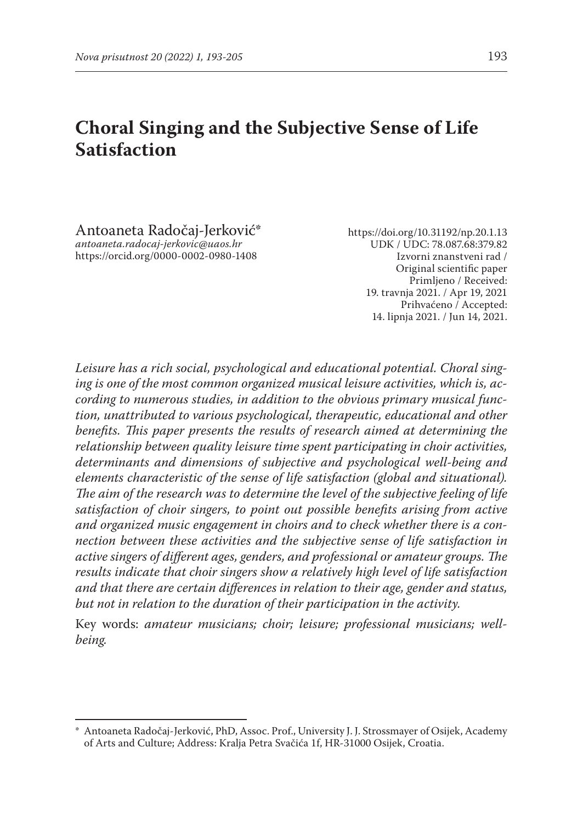# **Choral Singing and the Subjective Sense of Life Satisfaction**

Antoaneta Radočaj-Jerković\* *antoaneta.radocaj-jerkovic@uaos.hr* https://orcid.org/0000-0002-0980-1408

https://doi.org/10.31192/np.20.1.13 UDK / UDC: 78.087.68:379.82 Izvorni znanstveni rad / Original scientific paper Primljeno / Received: 19. travnja 2021. / Apr 19, 2021 Prihvaćeno / Accepted: 14. lipnja 2021. / Jun 14, 2021.

*Leisure has a rich social, psychological and educational potential. Choral singing is one of the most common organized musical leisure activities, which is, according to numerous studies, in addition to the obvious primary musical function, unattributed to various psychological, therapeutic, educational and other benefits. This paper presents the results of research aimed at determining the relationship between quality leisure time spent participating in choir activities, determinants and dimensions of subjective and psychological well-being and elements characteristic of the sense of life satisfaction (global and situational). The aim of the research was to determine the level of the subjective feeling of life satisfaction of choir singers, to point out possible benefits arising from active and organized music engagement in choirs and to check whether there is a connection between these activities and the subjective sense of life satisfaction in active singers of different ages, genders, and professional or amateur groups. The results indicate that choir singers show a relatively high level of life satisfaction and that there are certain differences in relation to their age, gender and status, but not in relation to the duration of their participation in the activity.*

Key words: *amateur musicians; choir; leisure; professional musicians; wellbeing.*

<sup>\*</sup> Antoaneta Radočaj-Jerković, PhD, Assoc. Prof., University J. J. Strossmayer of Osijek, Academy of Arts and Culture; Address: Kralja Petra Svačića 1f, HR-31000 Osijek, Croatia.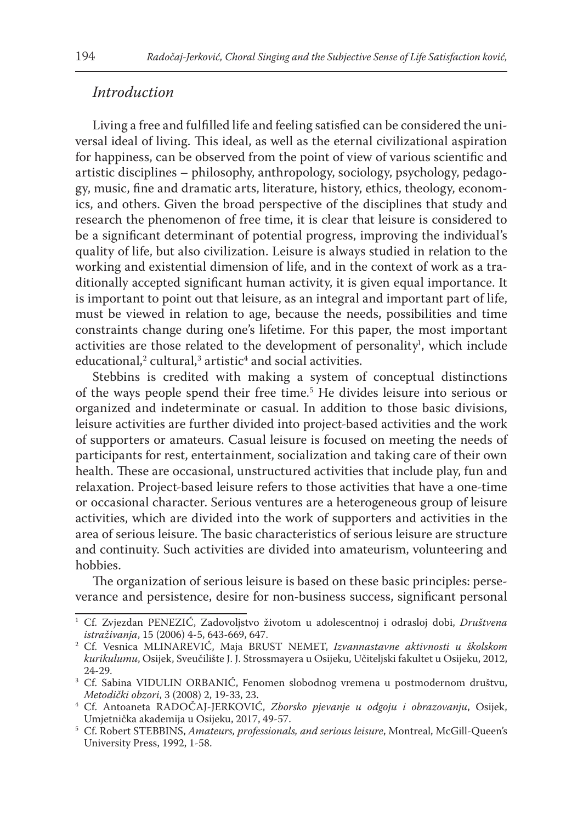### *Introduction*

Living a free and fulfilled life and feeling satisfied can be considered the universal ideal of living. This ideal, as well as the eternal civilizational aspiration for happiness, can be observed from the point of view of various scientific and artistic disciplines – philosophy, anthropology, sociology, psychology, pedagogy, music, fine and dramatic arts, literature, history, ethics, theology, economics, and others. Given the broad perspective of the disciplines that study and research the phenomenon of free time, it is clear that leisure is considered to be a significant determinant of potential progress, improving the individual's quality of life, but also civilization. Leisure is always studied in relation to the working and existential dimension of life, and in the context of work as a traditionally accepted significant human activity, it is given equal importance. It is important to point out that leisure, as an integral and important part of life, must be viewed in relation to age, because the needs, possibilities and time constraints change during one's lifetime. For this paper, the most important activities are those related to the development of personality<sup>1</sup>, which include  $educational, 2$  cultural, $3$  artistic $4$  and social activities.

Stebbins is credited with making a system of conceptual distinctions of the ways people spend their free time.5 He divides leisure into serious or organized and indeterminate or casual. In addition to those basic divisions, leisure activities are further divided into project-based activities and the work of supporters or amateurs. Casual leisure is focused on meeting the needs of participants for rest, entertainment, socialization and taking care of their own health. These are occasional, unstructured activities that include play, fun and relaxation. Project-based leisure refers to those activities that have a one-time or occasional character. Serious ventures are a heterogeneous group of leisure activities, which are divided into the work of supporters and activities in the area of serious leisure. The basic characteristics of serious leisure are structure and continuity. Such activities are divided into amateurism, volunteering and hobbies.

The organization of serious leisure is based on these basic principles: perseverance and persistence, desire for non-business success, significant personal

<sup>1</sup> Cf. Zvjezdan PENEZIĆ, Zadovoljstvo životom u adolescentnoj i odrasloj dobi, *Društvena istraživanja*, 15 (2006) 4-5, 643-669, 647.

<sup>2</sup> Cf. Vesnica MLINAREVIĆ, Maja BRUST NEMET, *Izvannastavne aktivnosti u školskom kurikulumu*, Osijek, Sveučilište J. J. Strossmayera u Osijeku, Učiteljski fakultet u Osijeku, 2012, 24-29.

<sup>&</sup>lt;sup>3</sup> Cf. Sabina VIDULIN ORBANIĆ, Fenomen slobodnog vremena u postmodernom društvu, Metodički obzori, 3 (2008) 2, 19-33, 23.

*Metodički obzori*, 3 (2008) 2, 19-33, 23. 4 Cf. Antoaneta RADOČAJ-JERKOVIĆ, *Zborsko pjevanje u odgoju i obrazovanju*, Osijek, Umjetnička akademija u Osijeku, 2017, 49-57.

<sup>5</sup> Cf. Robert STEBBINS, *Amateurs, professionals, and serious leisure*, Montreal, McGill-Queen's University Press, 1992, 1-58.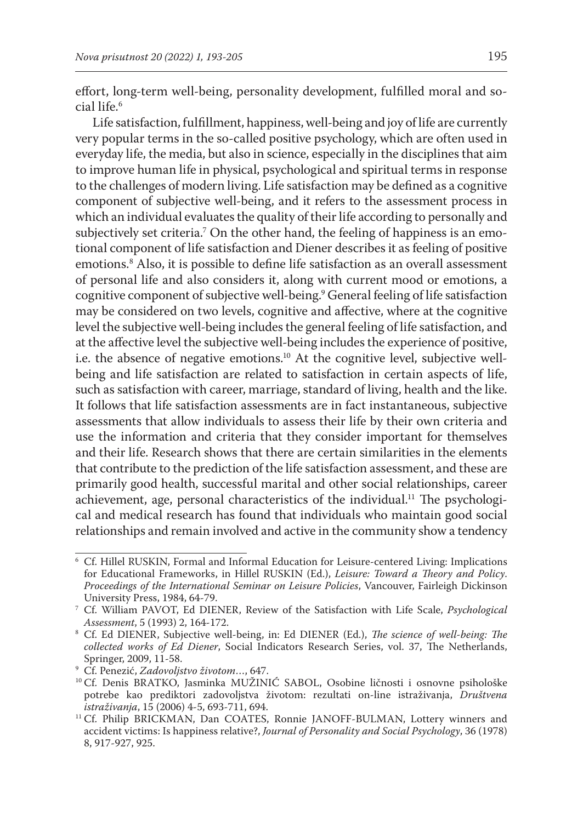effort, long-term well-being, personality development, fulfilled moral and social life.6

Life satisfaction, fulfillment, happiness, well-being and joy of life are currently very popular terms in the so-called positive psychology, which are often used in everyday life, the media, but also in science, especially in the disciplines that aim to improve human life in physical, psychological and spiritual terms in response to the challenges of modern living. Life satisfaction may be defined as a cognitive component of subjective well-being, and it refers to the assessment process in which an individual evaluates the quality of their life according to personally and subjectively set criteria.7 On the other hand, the feeling of happiness is an emotional component of life satisfaction and Diener describes it as feeling of positive emotions.8 Also, it is possible to define life satisfaction as an overall assessment of personal life and also considers it, along with current mood or emotions, a cognitive component of subjective well-being.9 General feeling of life satisfaction may be considered on two levels, cognitive and affective, where at the cognitive level the subjective well-being includes the general feeling of life satisfaction, and at the affective level the subjective well-being includes the experience of positive, i.e. the absence of negative emotions.10 At the cognitive level, subjective wellbeing and life satisfaction are related to satisfaction in certain aspects of life, such as satisfaction with career, marriage, standard of living, health and the like. It follows that life satisfaction assessments are in fact instantaneous, subjective assessments that allow individuals to assess their life by their own criteria and use the information and criteria that they consider important for themselves and their life. Research shows that there are certain similarities in the elements that contribute to the prediction of the life satisfaction assessment, and these are primarily good health, successful marital and other social relationships, career achievement, age, personal characteristics of the individual.<sup>11</sup> The psychological and medical research has found that individuals who maintain good social relationships and remain involved and active in the community show a tendency

<sup>6</sup> Cf. Hillel RUSKIN, Formal and Informal Education for Leisure-centered Living: Implications for Educational Frameworks, in Hillel RUSKIN (Ed.), *Leisure: Toward a Theory and Policy*. *Proceedings of the International Seminar on Leisure Policies*, Vancouver, Fairleigh Dickinson University Press, 1984, 64-79.

<sup>7</sup> Cf. William PAVOT, Ed DIENER, Review of the Satisfaction with Life Scale, *Psychological Assessment*, 5 (1993) 2, 164-172.

<sup>8</sup> Cf. Ed DIENER, Subjective well-being, in: Ed DIENER (Ed.), *The science of well-being: The collected works of Ed Diener*, Social Indicators Research Series, vol. 37, The Netherlands,

<sup>&</sup>lt;sup>9</sup> Cf. Penezić, *Zadovoljstvo životom*…, 647.

<sup>&</sup>lt;sup>10</sup> Cf. Denis BRATKO, Jasminka MUŽINIĆ SABOL, Osobine ličnosti i osnovne psihološke potrebe kao prediktori zadovoljstva životom: rezultati on-line istraživanja, *Društvena istraživanja*, 15 (2006) 4-5, 693-711, 694.

<sup>&</sup>lt;sup>11</sup> Cf. Philip BRICKMAN, Dan COATES, Ronnie JANOFF-BULMAN, Lottery winners and accident victims: Is happiness relative?, *Journal of Personality and Social Psychology*, 36 (1978) 8, 917-927, 925.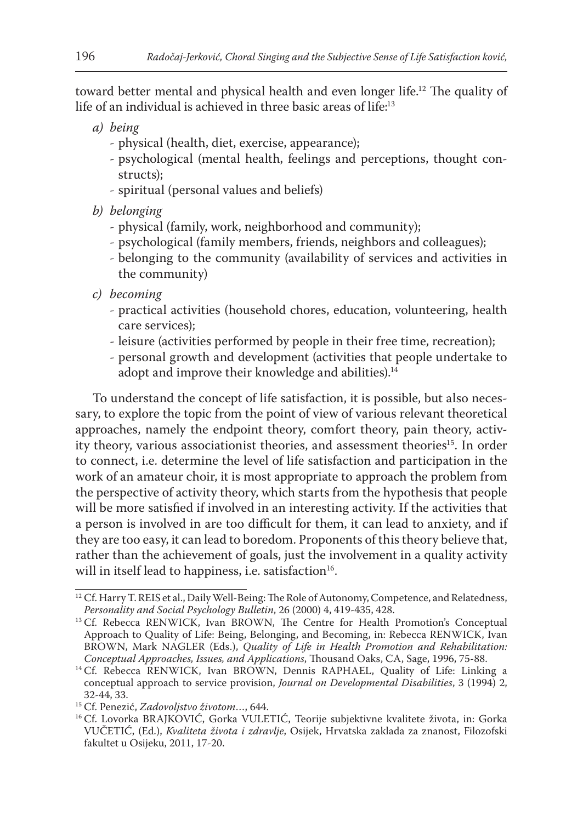toward better mental and physical health and even longer life.<sup>12</sup> The quality of life of an individual is achieved in three basic areas of life:<sup>13</sup>

- *a) being*
	- physical (health, diet, exercise, appearance);
	- psychological (mental health, feelings and perceptions, thought constructs);
	- spiritual (personal values and beliefs)
- *b) belonging*
	- physical (family, work, neighborhood and community);
	- psychological (family members, friends, neighbors and colleagues);
	- belonging to the community (availability of services and activities in the community)
- *c) becoming*
	- practical activities (household chores, education, volunteering, health care services);
	- leisure (activities performed by people in their free time, recreation);
	- personal growth and development (activities that people undertake to adopt and improve their knowledge and abilities).<sup>14</sup>

To understand the concept of life satisfaction, it is possible, but also necessary, to explore the topic from the point of view of various relevant theoretical approaches, namely the endpoint theory, comfort theory, pain theory, activity theory, various associationist theories, and assessment theories<sup>15</sup>. In order to connect, i.e. determine the level of life satisfaction and participation in the work of an amateur choir, it is most appropriate to approach the problem from the perspective of activity theory, which starts from the hypothesis that people will be more satisfied if involved in an interesting activity. If the activities that a person is involved in are too difficult for them, it can lead to anxiety, and if they are too easy, it can lead to boredom. Proponents of this theory believe that, rather than the achievement of goals, just the involvement in a quality activity will in itself lead to happiness, i.e. satisfaction<sup>16</sup>.

<sup>&</sup>lt;sup>12</sup> Cf. Harry T. REIS et al., Daily Well-Being: The Role of Autonomy, Competence, and Relatedness, *Personality and Social Psychology Bulletin*, 26 (2000) 4, 419-435, 428.

<sup>&</sup>lt;sup>13</sup> Cf. Rebecca RENWICK, Ivan BROWN, The Centre for Health Promotion's Conceptual Approach to Quality of Life: Being, Belonging, and Becoming, in: Rebecca RENWICK, Ivan BROWN, Mark NAGLER (Eds.), *Quality of Life in Health Promotion and Rehabilitation:*<br>Conceptual Approaches, Issues, and Applications, Thousand Oaks, CA, Sage, 1996, 75-88.

<sup>&</sup>lt;sup>14</sup> Cf. Rebecca RENWICK, Ivan BROWN, Dennis RAPHAEL, Quality of Life: Linking a conceptual approach to service provision, *Journal on Developmental Disabilities*, 3 (1994) 2, 32-44, 33.<br><sup>15</sup> Cf. Penezić, *Zadovoljstvo životom...*, 644.

<sup>&</sup>lt;sup>16</sup> Cf. Lovorka BRAJKOVIĆ, Gorka VULETIĆ, Teorije subjektivne kvalitete života, in: Gorka VUČETIĆ, (Ed.), *Kvaliteta života i zdravlje*, Osijek, Hrvatska zaklada za znanost, Filozofski fakultet u Osijeku, 2011, 17-20.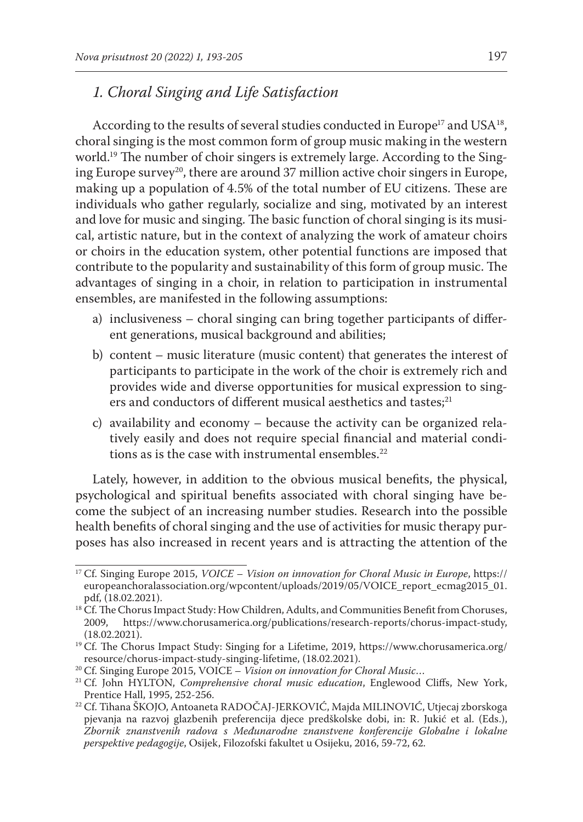# *1. Choral Singing and Life Satisfaction*

According to the results of several studies conducted in Europe<sup>17</sup> and USA<sup>18</sup>, choral singing is the most common form of group music making in the western world.<sup>19</sup> The number of choir singers is extremely large. According to the Singing Europe survey<sup>20</sup>, there are around 37 million active choir singers in Europe, making up a population of 4.5% of the total number of EU citizens. These are individuals who gather regularly, socialize and sing, motivated by an interest and love for music and singing. The basic function of choral singing is its musical, artistic nature, but in the context of analyzing the work of amateur choirs or choirs in the education system, other potential functions are imposed that contribute to the popularity and sustainability of this form of group music. The advantages of singing in a choir, in relation to participation in instrumental ensembles, are manifested in the following assumptions:

- a) inclusiveness choral singing can bring together participants of different generations, musical background and abilities;
- b) content music literature (music content) that generates the interest of participants to participate in the work of the choir is extremely rich and provides wide and diverse opportunities for musical expression to singers and conductors of different musical aesthetics and tastes;<sup>21</sup>
- c) availability and economy because the activity can be organized relatively easily and does not require special financial and material conditions as is the case with instrumental ensembles. $22$

Lately, however, in addition to the obvious musical benefits, the physical, psychological and spiritual benefits associated with choral singing have become the subject of an increasing number studies. Research into the possible health benefits of choral singing and the use of activities for music therapy purposes has also increased in recent years and is attracting the attention of the

<sup>17</sup> Cf. Singing Europe 2015, *VOICE – Vision on innovation for Choral Music in Europe*, https:// europeanchoralassociation.org/wpcontent/uploads/2019/05/VOICE\_report\_ecmag2015\_01. pdf, (18.02.2021).

<sup>&</sup>lt;sup>18</sup> Cf. The Chorus Impact Study: How Children, Adults, and Communities Benefit from Choruses, 2009. <br>2009. https://www.chorusamerica.org/publications/research-reports/chorus-impact-study. 2009, https://www.chorusamerica.org/publications/research-reports/chorus-impact-study, (18.02.2021).

<sup>&</sup>lt;sup>19</sup> Cf. The Chorus Impact Study: Singing for a Lifetime, 2019, https://www.chorusamerica.org/ resource/chorus-impact-study-singing-lifetime, (18.02.2021).

<sup>20</sup> Cf. Singing Europe 2015, VOICE – *Vision on innovation for Choral Music*…

<sup>21</sup> Cf. John HYLTON, *Comprehensive choral music education*, Englewood Cliffs, New York, Prentice Hall, 1995, 252-256.

<sup>22</sup> Cf. Tihana ŠKOJO, Antoaneta RADOČAJ-JERKOVIĆ, Majda MILINOVIĆ, Utjecaj zborskoga pjevanja na razvoj glazbenih preferencija djece predškolske dobi, in: R. Jukić et al. (Eds.), *Zbornik znanstvenih radova s Međunarodne znanstvene konferencije Globalne i lokalne perspektive pedagogije*, Osijek, Filozofski fakultet u Osijeku, 2016, 59-72, 62.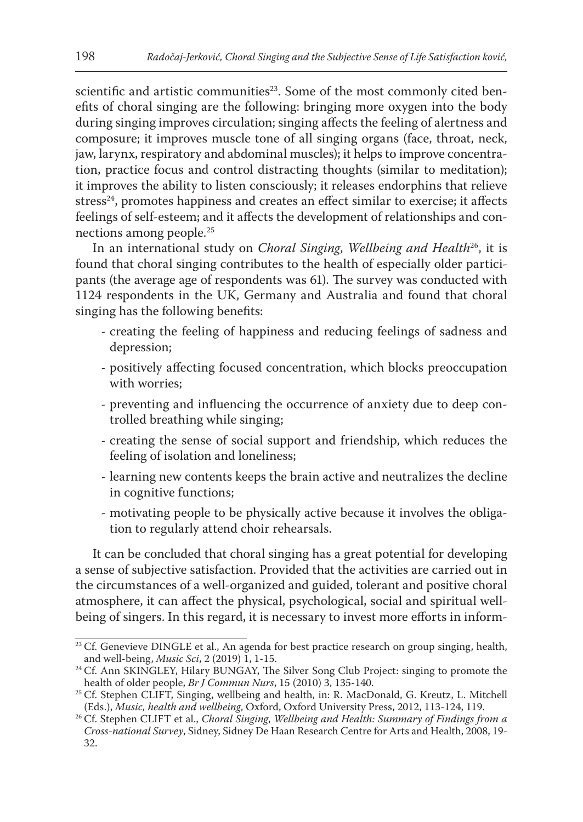scientific and artistic communities<sup>23</sup>. Some of the most commonly cited benefits of choral singing are the following: bringing more oxygen into the body during singing improves circulation; singing affects the feeling of alertness and composure; it improves muscle tone of all singing organs (face, throat, neck, jaw, larynx, respiratory and abdominal muscles); it helps to improve concentration, practice focus and control distracting thoughts (similar to meditation); it improves the ability to listen consciously; it releases endorphins that relieve stress<sup>24</sup>, promotes happiness and creates an effect similar to exercise; it affects feelings of self-esteem; and it affects the development of relationships and connections among people.<sup>25</sup>

In an international study on *Choral Singing*, *Wellbeing and Health*26, it is found that choral singing contributes to the health of especially older participants (the average age of respondents was 61). The survey was conducted with 1124 respondents in the UK, Germany and Australia and found that choral singing has the following benefits:

- creating the feeling of happiness and reducing feelings of sadness and depression;
- positively affecting focused concentration, which blocks preoccupation with worries;
- preventing and influencing the occurrence of anxiety due to deep controlled breathing while singing;
- creating the sense of social support and friendship, which reduces the feeling of isolation and loneliness;
- learning new contents keeps the brain active and neutralizes the decline in cognitive functions;
- motivating people to be physically active because it involves the obligation to regularly attend choir rehearsals.

It can be concluded that choral singing has a great potential for developing a sense of subjective satisfaction. Provided that the activities are carried out in the circumstances of a well-organized and guided, tolerant and positive choral atmosphere, it can affect the physical, psychological, social and spiritual wellbeing of singers. In this regard, it is necessary to invest more efforts in inform-

<sup>&</sup>lt;sup>23</sup> Cf. Genevieve DINGLE et al., An agenda for best practice research on group singing, health, and well-being, *Music Sci*, 2 (2019) 1, 1-15.

<sup>&</sup>lt;sup>24</sup> Cf. Ann SKINGLEY, Hilary BUNGAY, The Silver Song Club Project: singing to promote the health of older people, *Br J Commun Nurs*, 15 (2010) 3, 135-140.

<sup>&</sup>lt;sup>25</sup> Cf. Stephen CLIFT, Singing, wellbeing and health, in: R. MacDonald, G. Kreutz, L. Mitchell (Eds.), *Music, health and wellbeing*, Oxford, Oxford University Press, 2012, 113-124, 119.

<sup>26</sup> Cf. Stephen CLIFT et al., *Choral Singing*, *Wellbeing and Health: Summary of Findings from a Cross-national Survey*, Sidney, Sidney De Haan Research Centre for Arts and Health, 2008, 19- 32.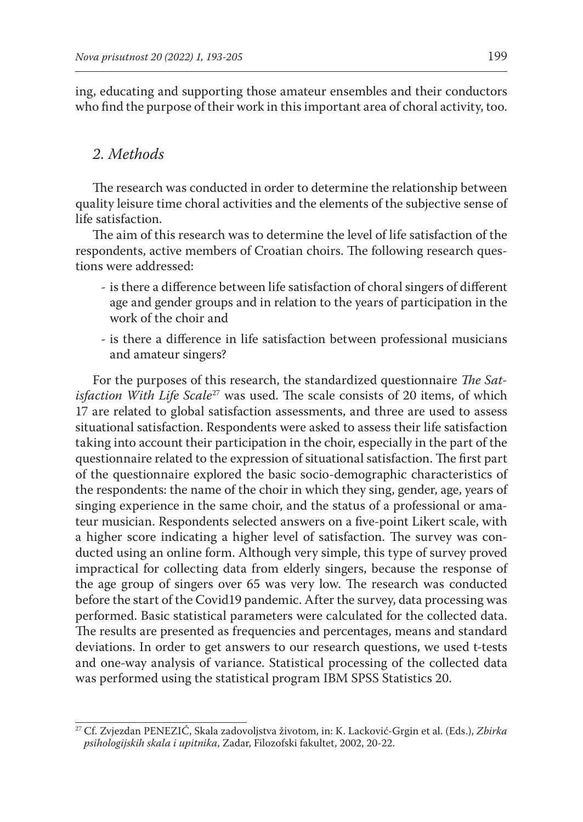ing, educating and supporting those amateur ensembles and their conductors who find the purpose of their work in this important area of choral activity, too.

## *2. Methods*

The research was conducted in order to determine the relationship between quality leisure time choral activities and the elements of the subjective sense of life satisfaction.

The aim of this research was to determine the level of life satisfaction of the respondents, active members of Croatian choirs. The following research questions were addressed:

- is there a difference between life satisfaction of choral singers of different age and gender groups and in relation to the years of participation in the work of the choir and
- is there a difference in life satisfaction between professional musicians and amateur singers?

For the purposes of this research, the standardized questionnaire *The Satisfaction With Life Scale<sup>27</sup>* was used. The scale consists of 20 items, of which 17 are related to global satisfaction assessments, and three are used to assess situational satisfaction. Respondents were asked to assess their life satisfaction taking into account their participation in the choir, especially in the part of the questionnaire related to the expression of situational satisfaction. The first part of the questionnaire explored the basic socio-demographic characteristics of the respondents: the name of the choir in which they sing, gender, age, years of singing experience in the same choir, and the status of a professional or amateur musician. Respondents selected answers on a five-point Likert scale, with a higher score indicating a higher level of satisfaction. The survey was conducted using an online form. Although very simple, this type of survey proved impractical for collecting data from elderly singers, because the response of the age group of singers over 65 was very low. The research was conducted before the start of the Covid19 pandemic. After the survey, data processing was performed. Basic statistical parameters were calculated for the collected data. The results are presented as frequencies and percentages, means and standard deviations. In order to get answers to our research questions, we used t-tests and one-way analysis of variance. Statistical processing of the collected data was performed using the statistical program IBM SPSS Statistics 20.

<sup>27</sup> Cf. Zvjezdan PENEZIĆ, Skala zadovoljstva životom, in: K. Lacković-Grgin et al. (Eds.), *Zbirka psihologijskih skala i upitnika*, Zadar, Filozofski fakultet, 2002, 20-22.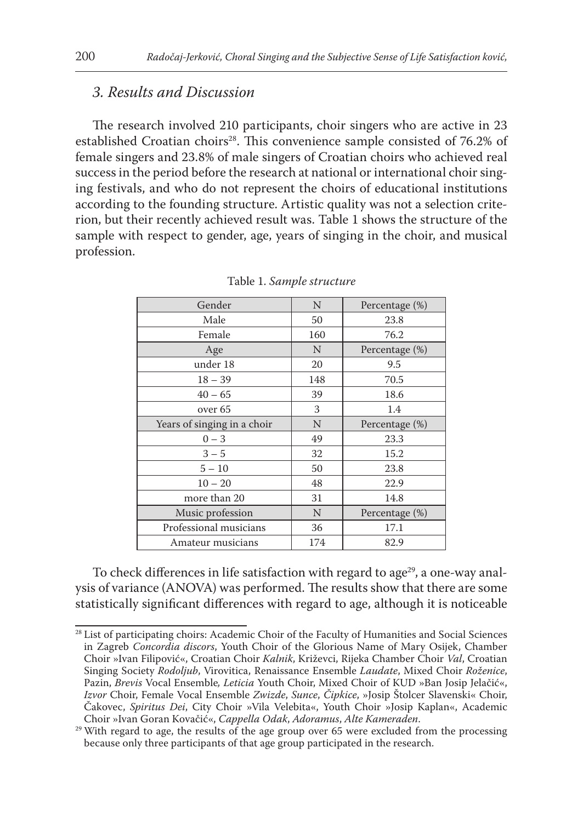#### *3. Results and Discussion*

The research involved 210 participants, choir singers who are active in 23 established Croatian choirs<sup>28</sup>. This convenience sample consisted of 76.2% of female singers and 23.8% of male singers of Croatian choirs who achieved real success in the period before the research at national or international choir singing festivals, and who do not represent the choirs of educational institutions according to the founding structure. Artistic quality was not a selection criterion, but their recently achieved result was. Table 1 shows the structure of the sample with respect to gender, age, years of singing in the choir, and musical profession.

| Gender                      | N   | Percentage (%) |  |  |
|-----------------------------|-----|----------------|--|--|
| Male                        | 50  | 23.8           |  |  |
| Female                      | 160 | 76.2           |  |  |
| Age                         | N   | Percentage (%) |  |  |
| under 18                    | 20  | 9.5            |  |  |
| $18 - 39$                   | 148 | 70.5           |  |  |
| $40 - 65$                   | 39  | 18.6           |  |  |
| over <sub>65</sub>          | 3   | 1.4            |  |  |
| Years of singing in a choir | N   | Percentage (%) |  |  |
| $0 - 3$                     | 49  | 23.3           |  |  |
| $3 - 5$                     | 32  | 15.2           |  |  |
| $5 - 10$                    | 50  | 23.8           |  |  |
| $10 - 20$                   | 48  | 22.9           |  |  |
| more than 20                | 31  | 14.8           |  |  |
| Music profession            | N   | Percentage (%) |  |  |
| Professional musicians      | 36  | 17.1           |  |  |
| Amateur musicians           | 174 | 82.9           |  |  |

Table 1. *Sample structure*

To check differences in life satisfaction with regard to age<sup>29</sup>, a one-way analysis of variance (ANOVA) was performed. The results show that there are some statistically significant differences with regard to age, although it is noticeable

<sup>&</sup>lt;sup>28</sup> List of participating choirs: Academic Choir of the Faculty of Humanities and Social Sciences in Zagreb *Concordia discors*, Youth Choir of the Glorious Name of Mary Osijek, Chamber Choir »Ivan Filipović«, Croatian Choir *Kalnik*, Križevci, Rijeka Chamber Choir *Val*, Croatian Singing Society *Rodoljub*, Virovitica, Renaissance Ensemble *Laudate*, Mixed Choir *Roženice*, Pazin, *Brevis* Vocal Ensemble*, Leticia* Youth Choir, Mixed Choir of KUD »Ban Josip Jelačić«, *Izvor* Choir, Female Vocal Ensemble *Zwizde*, *Sunce*, *Čipkice*, »Josip Štolcer Slavenski« Choir, Čakovec, *Spiritus Dei*, City Choir »Vila Velebita«, Youth Choir »Josip Kaplan«, Academic Choir »Ivan Goran Kovačić«, *Cappella Odak*, *Adoramus*, *Alte Kameraden*.

 $29$  With regard to age, the results of the age group over 65 were excluded from the processing because only three participants of that age group participated in the research.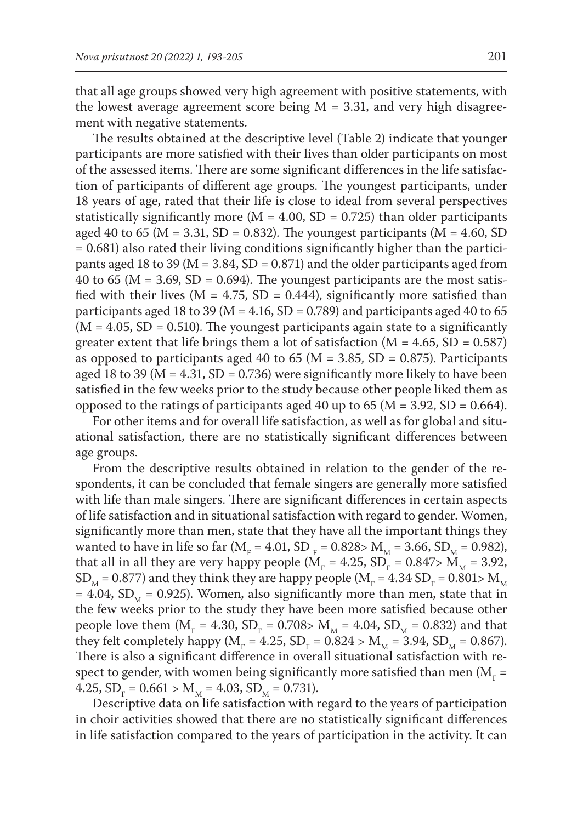that all age groups showed very high agreement with positive statements, with the lowest average agreement score being  $M = 3.31$ , and very high disagreement with negative statements.

The results obtained at the descriptive level (Table 2) indicate that younger participants are more satisfied with their lives than older participants on most of the assessed items. There are some significant differences in the life satisfaction of participants of different age groups. The youngest participants, under 18 years of age, rated that their life is close to ideal from several perspectives statistically significantly more ( $M = 4.00$ , SD = 0.725) than older participants aged 40 to 65 ( $M = 3.31$ , SD = 0.832). The youngest participants ( $M = 4.60$ , SD = 0.681) also rated their living conditions significantly higher than the participants aged 18 to 39 ( $M = 3.84$ , SD = 0.871) and the older participants aged from 40 to 65 ( $M = 3.69$ , SD = 0.694). The youngest participants are the most satisfied with their lives ( $M = 4.75$ ,  $SD = 0.444$ ), significantly more satisfied than participants aged 18 to 39 ( $M = 4.16$ , SD = 0.789) and participants aged 40 to 65  $(M = 4.05, SD = 0.510)$ . The youngest participants again state to a significantly greater extent that life brings them a lot of satisfaction  $(M = 4.65, SD = 0.587)$ as opposed to participants aged 40 to 65 ( $M = 3.85$ , SD = 0.875). Participants aged 18 to 39 ( $M = 4.31$ ,  $SD = 0.736$ ) were significantly more likely to have been satisfied in the few weeks prior to the study because other people liked them as opposed to the ratings of participants aged 40 up to 65 ( $M = 3.92$ , SD = 0.664).

For other items and for overall life satisfaction, as well as for global and situational satisfaction, there are no statistically significant differences between age groups.

From the descriptive results obtained in relation to the gender of the respondents, it can be concluded that female singers are generally more satisfied with life than male singers. There are significant differences in certain aspects of life satisfaction and in situational satisfaction with regard to gender. Women, significantly more than men, state that they have all the important things they wanted to have in life so far ( $M_F = 4.01$ , SD  $_F = 0.828 > M_M = 3.66$ , SD  $_M = 0.982$ ), that all in all they are very happy people ( $M_F = 4.25$ ,  $SD_F = 0.847 > M_M = 3.92$ ,  $\text{SD}_{\text{M}}$  = 0.877) and they think they are happy people (M<sub>F</sub> = 4.34 SD<sub>F</sub> = 0.801> M<sub>M</sub> = 4.04, SD<sub>M</sub> = 0.925). Women, also significantly more than men, state that in the few weeks prior to the study they have been more satisfied because other people love them ( $M_F = 4.30$ ,  $SD_F = 0.708 > M_M = 4.04$ ,  $SD_M = 0.832$ ) and that they felt completely happy ( $M_F = 4.25$ ,  $SD_F = 0.824 > M_M = 3.94$ ,  $SD_M = 0.867$ ). There is also a significant difference in overall situational satisfaction with respect to gender, with women being significantly more satisfied than men ( $\rm M_{_{F}}$  = 4.25,  $SD_F = 0.661 > M_M = 4.03$ ,  $SD_M = 0.731$ .

Descriptive data on life satisfaction with regard to the years of participation in choir activities showed that there are no statistically significant differences in life satisfaction compared to the years of participation in the activity. It can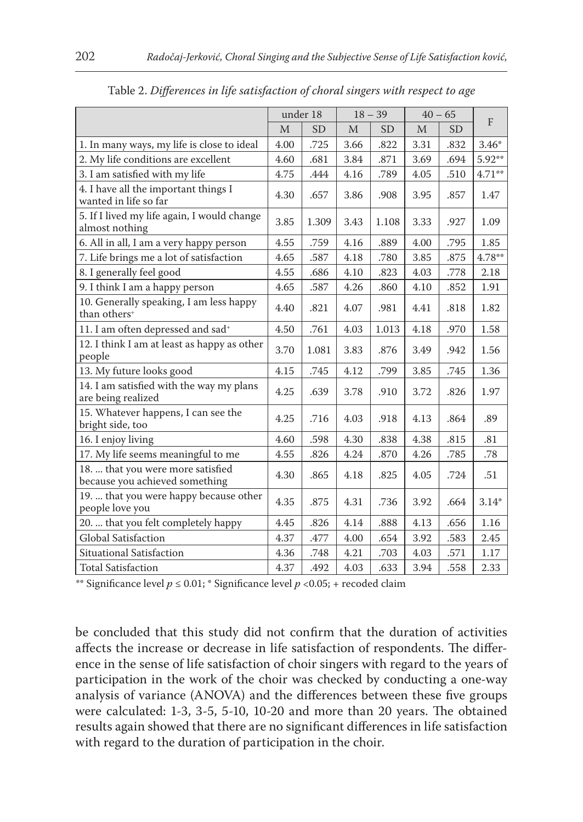|                                                                     | under 18 |           | $18 - 39$ |           | $40 - 65$ |           |           |
|---------------------------------------------------------------------|----------|-----------|-----------|-----------|-----------|-----------|-----------|
|                                                                     | M        | <b>SD</b> | M         | <b>SD</b> | M         | <b>SD</b> | F         |
| 1. In many ways, my life is close to ideal                          | 4.00     | .725      | 3.66      | .822      | 3.31      | .832      | $3.46*$   |
| 2. My life conditions are excellent                                 | 4.60     | .681      | 3.84      | .871      | 3.69      | .694      | 5.92**    |
| 3. I am satisfied with my life                                      | 4.75     | .444      | 4.16      | .789      | 4.05      | .510      | $4.71***$ |
| 4. I have all the important things I<br>wanted in life so far       | 4.30     | .657      | 3.86      | .908      | 3.95      | .857      | 1.47      |
| 5. If I lived my life again, I would change<br>almost nothing       | 3.85     | 1.309     | 3.43      | 1.108     | 3.33      | .927      | 1.09      |
| 6. All in all, I am a very happy person                             | 4.55     | .759      | 4.16      | .889      | 4.00      | .795      | 1.85      |
| 7. Life brings me a lot of satisfaction                             | 4.65     | .587      | 4.18      | .780      | 3.85      | .875      | $4.78**$  |
| 8. I generally feel good                                            | 4.55     | .686      | 4.10      | .823      | 4.03      | .778      | 2.18      |
| 9. I think I am a happy person                                      | 4.65     | .587      | 4.26      | .860      | 4.10      | .852      | 1.91      |
| 10. Generally speaking, I am less happy<br>than others <sup>+</sup> | 4.40     | .821      | 4.07      | .981      | 4.41      | .818      | 1.82      |
| 11. I am often depressed and sad <sup>+</sup>                       | 4.50     | .761      | 4.03      | 1.013     | 4.18      | .970      | 1.58      |
| 12. I think I am at least as happy as other<br>people               | 3.70     | 1.081     | 3.83      | .876      | 3.49      | .942      | 1.56      |
| 13. My future looks good                                            | 4.15     | .745      | 4.12      | .799      | 3.85      | .745      | 1.36      |
| 14. I am satisfied with the way my plans<br>are being realized      | 4.25     | .639      | 3.78      | .910      | 3.72      | .826      | 1.97      |
| 15. Whatever happens, I can see the<br>bright side, too             | 4.25     | .716      | 4.03      | .918      | 4.13      | .864      | .89       |
| 16. I enjoy living                                                  | 4.60     | .598      | 4.30      | .838      | 4.38      | .815      | .81       |
| 17. My life seems meaningful to me                                  | 4.55     | .826      | 4.24      | .870      | 4.26      | .785      | .78       |
| 18.  that you were more satisfied<br>because you achieved something | 4.30     | .865      | 4.18      | .825      | 4.05      | .724      | .51       |
| 19.  that you were happy because other<br>people love you           | 4.35     | .875      | 4.31      | .736      | 3.92      | .664      | $3.14*$   |
| 20.  that you felt completely happy                                 | 4.45     | .826      | 4.14      | .888      | 4.13      | .656      | 1.16      |
| Global Satisfaction                                                 | 4.37     | .477      | 4.00      | .654      | 3.92      | .583      | 2.45      |
| Situational Satisfaction                                            | 4.36     | .748      | 4.21      | .703      | 4.03      | .571      | 1.17      |
| <b>Total Satisfaction</b>                                           | 4.37     | .492      | 4.03      | .633      | 3.94      | .558      | 2.33      |

Table 2. *Differences in life satisfaction of choral singers with respect to age*

\*\* Significance level  $p \le 0.01$ ; \* Significance level  $p < 0.05$ ; + recoded claim

be concluded that this study did not confirm that the duration of activities affects the increase or decrease in life satisfaction of respondents. The difference in the sense of life satisfaction of choir singers with regard to the years of participation in the work of the choir was checked by conducting a one-way analysis of variance (ANOVA) and the differences between these five groups were calculated: 1-3, 3-5, 5-10, 10-20 and more than 20 years. The obtained results again showed that there are no significant differences in life satisfaction with regard to the duration of participation in the choir.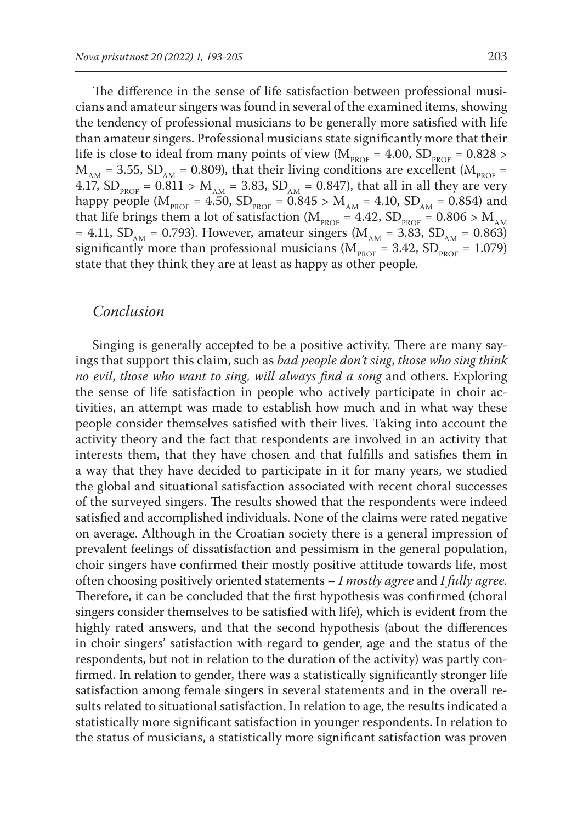The difference in the sense of life satisfaction between professional musicians and amateur singers was found in several of the examined items, showing the tendency of professional musicians to be generally more satisfied with life than amateur singers. Professional musicians state significantly more that their life is close to ideal from many points of view ( $M_{\text{pROF}} = 4.00$ , SD<sub>PROF</sub> = 0.828 >  $M<sub>AM</sub>$  = 3.55, SD<sub>AM</sub> = 0.809), that their living conditions are excellent ( $M<sub>PROF</sub>$  = 4.17,  $SD_{PROF} = 0.811 > M_{AM} = 3.83$ ,  $SD_{AM} = 0.847$ ), that all in all they are very happy people ( $M_{PROF} = 4.50$ ,  $SD_{PROF} = 0.845 > M_{AM} = 4.10$ ,  $SD_{AM} = 0.854$ ) and that life brings them a lot of satisfaction  $(M_{\text{pROF}} = 4.42, SD_{\text{pROF}} = 0.806 > M_{AM}$ = 4.11, SD<sub>AM</sub> = 0.793). However, amateur singers ( $M<sub>AM</sub>$  = 3.83, SD<sub>AM</sub> = 0.863) significantly more than professional musicians ( $M_{\text{pROF}} = 3.42$ ,  $SD_{\text{pROF}} = 1.079$ ) state that they think they are at least as happy as other people.

#### *Conclusion*

Singing is generally accepted to be a positive activity. There are many sayings that support this claim, such as *bad people don't sing*, *those who sing think no evil*, *those who want to sing, will always find a song* and others. Exploring the sense of life satisfaction in people who actively participate in choir activities, an attempt was made to establish how much and in what way these people consider themselves satisfied with their lives. Taking into account the activity theory and the fact that respondents are involved in an activity that interests them, that they have chosen and that fulfills and satisfies them in a way that they have decided to participate in it for many years, we studied the global and situational satisfaction associated with recent choral successes of the surveyed singers. The results showed that the respondents were indeed satisfied and accomplished individuals. None of the claims were rated negative on average. Although in the Croatian society there is a general impression of prevalent feelings of dissatisfaction and pessimism in the general population, choir singers have confirmed their mostly positive attitude towards life, most often choosing positively oriented statements – *I mostly agree* and *I fully agree*. Therefore, it can be concluded that the first hypothesis was confirmed (choral singers consider themselves to be satisfied with life), which is evident from the highly rated answers, and that the second hypothesis (about the differences in choir singers' satisfaction with regard to gender, age and the status of the respondents, but not in relation to the duration of the activity) was partly confirmed. In relation to gender, there was a statistically significantly stronger life satisfaction among female singers in several statements and in the overall results related to situational satisfaction. In relation to age, the results indicated a statistically more significant satisfaction in younger respondents. In relation to the status of musicians, a statistically more significant satisfaction was proven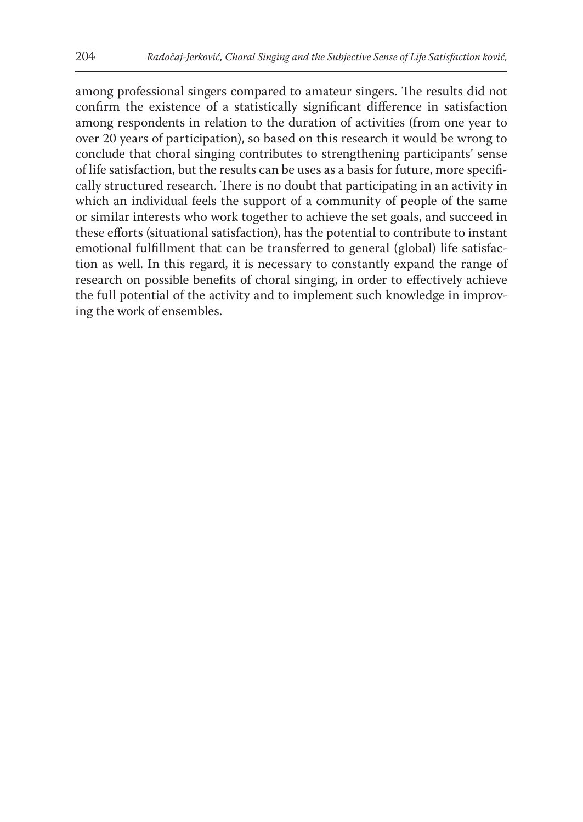among professional singers compared to amateur singers. The results did not confirm the existence of a statistically significant difference in satisfaction among respondents in relation to the duration of activities (from one year to over 20 years of participation), so based on this research it would be wrong to conclude that choral singing contributes to strengthening participants' sense of life satisfaction, but the results can be uses as a basis for future, more specifically structured research. There is no doubt that participating in an activity in which an individual feels the support of a community of people of the same or similar interests who work together to achieve the set goals, and succeed in these efforts (situational satisfaction), has the potential to contribute to instant emotional fulfillment that can be transferred to general (global) life satisfaction as well. In this regard, it is necessary to constantly expand the range of research on possible benefits of choral singing, in order to effectively achieve the full potential of the activity and to implement such knowledge in improving the work of ensembles.